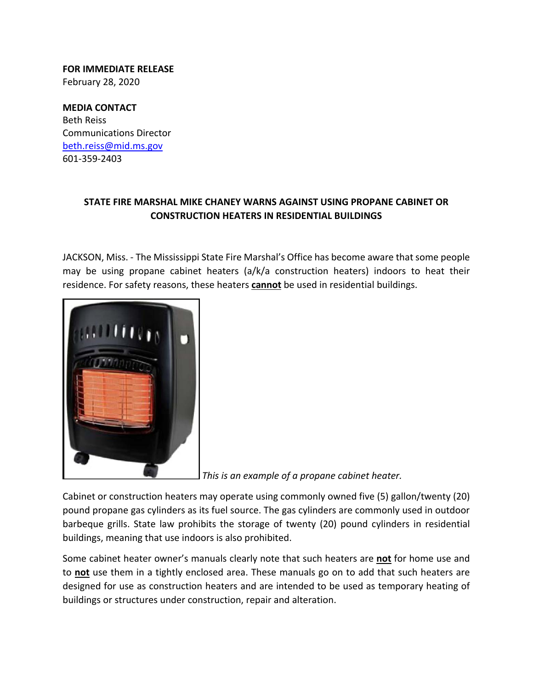**FOR IMMEDIATE RELEASE** February 28, 2020

**MEDIA CONTACT** Beth Reiss Communications Director beth.reiss@mid.ms.gov 601‐359‐2403

## **STATE FIRE MARSHAL MIKE CHANEY WARNS AGAINST USING PROPANE CABINET OR CONSTRUCTION HEATERS IN RESIDENTIAL BUILDINGS**

JACKSON, Miss. ‐ The Mississippi State Fire Marshal's Office has become aware that some people may be using propane cabinet heaters (a/k/a construction heaters) indoors to heat their residence. For safety reasons, these heaters **cannot** be used in residential buildings.



*This is an example of a propane cabinet heater.* 

Cabinet or construction heaters may operate using commonly owned five (5) gallon/twenty (20) pound propane gas cylinders as its fuel source. The gas cylinders are commonly used in outdoor barbeque grills. State law prohibits the storage of twenty (20) pound cylinders in residential buildings, meaning that use indoors is also prohibited.

Some cabinet heater owner's manuals clearly note that such heaters are **not** for home use and to **not** use them in a tightly enclosed area. These manuals go on to add that such heaters are designed for use as construction heaters and are intended to be used as temporary heating of buildings or structures under construction, repair and alteration.